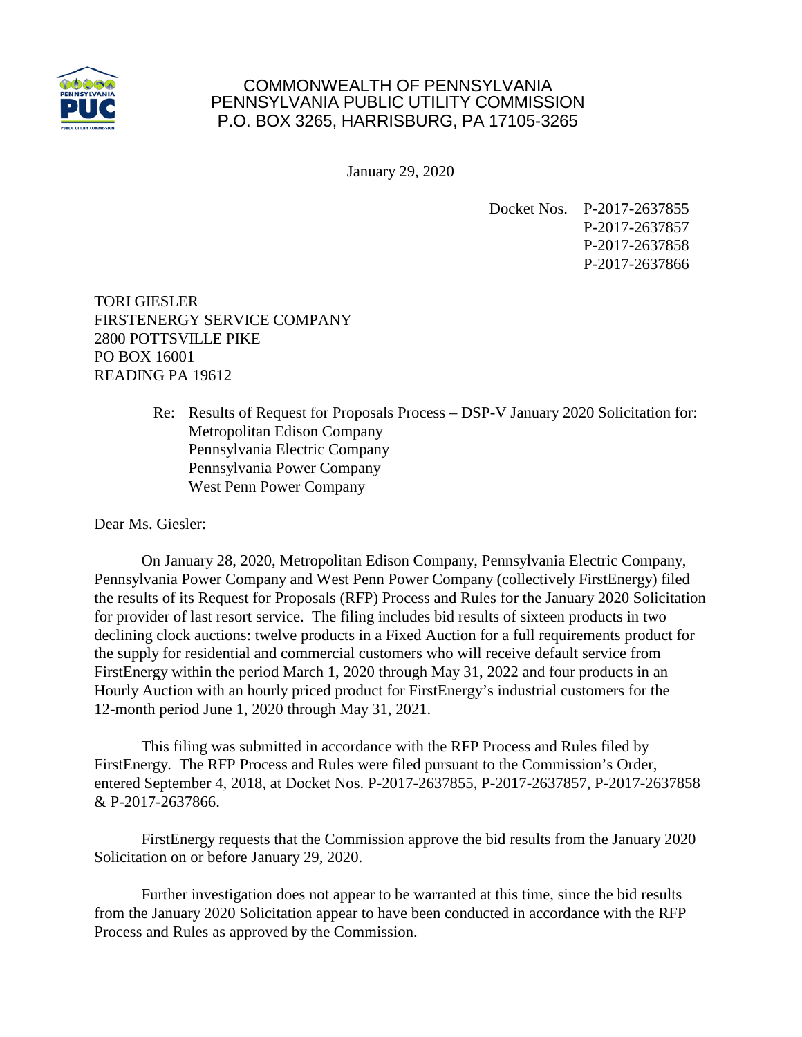

## COMMONWEALTH OF PENNSYLVANIA PENNSYLVANIA PUBLIC UTILITY COMMISSION P.O. BOX 3265, HARRISBURG, PA 17105-3265

January 29, 2020

Docket Nos. P-2017-2637855 P-2017-2637857 P-2017-2637858 P-2017-2637866

TORI GIESLER FIRSTENERGY SERVICE COMPANY 2800 POTTSVILLE PIKE PO BOX 16001 READING PA 19612

> Re: Results of Request for Proposals Process – DSP-V January 2020 Solicitation for: Metropolitan Edison Company Pennsylvania Electric Company Pennsylvania Power Company West Penn Power Company

Dear Ms. Giesler:

On January 28, 2020, Metropolitan Edison Company, Pennsylvania Electric Company, Pennsylvania Power Company and West Penn Power Company (collectively FirstEnergy) filed the results of its Request for Proposals (RFP) Process and Rules for the January 2020 Solicitation for provider of last resort service. The filing includes bid results of sixteen products in two declining clock auctions: twelve products in a Fixed Auction for a full requirements product for the supply for residential and commercial customers who will receive default service from FirstEnergy within the period March 1, 2020 through May 31, 2022 and four products in an Hourly Auction with an hourly priced product for FirstEnergy's industrial customers for the 12-month period June 1, 2020 through May 31, 2021.

This filing was submitted in accordance with the RFP Process and Rules filed by FirstEnergy. The RFP Process and Rules were filed pursuant to the Commission's Order, entered September 4, 2018, at Docket Nos. P-2017-2637855, P-2017-2637857, P-2017-2637858 & P-2017-2637866.

FirstEnergy requests that the Commission approve the bid results from the January 2020 Solicitation on or before January 29, 2020.

Further investigation does not appear to be warranted at this time, since the bid results from the January 2020 Solicitation appear to have been conducted in accordance with the RFP Process and Rules as approved by the Commission.